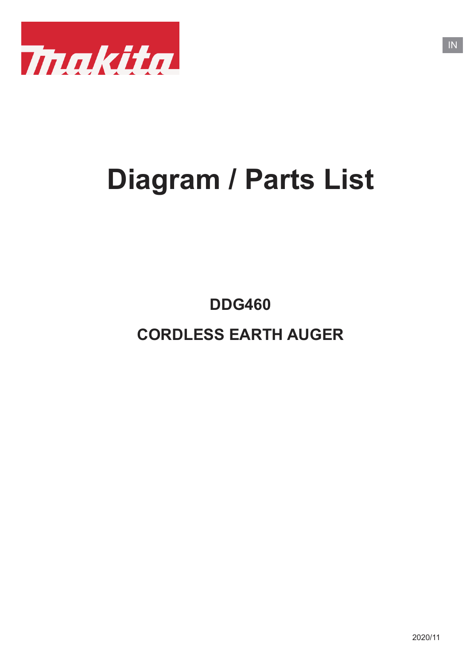

## **Diagram / Parts List**

**CORDLESS EARTH AUGER DDG460**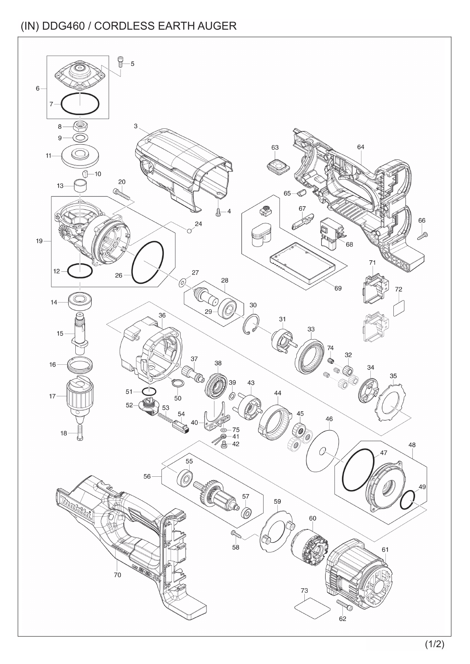## (IN) DDG460 / CORDLESS EARTH AUGER

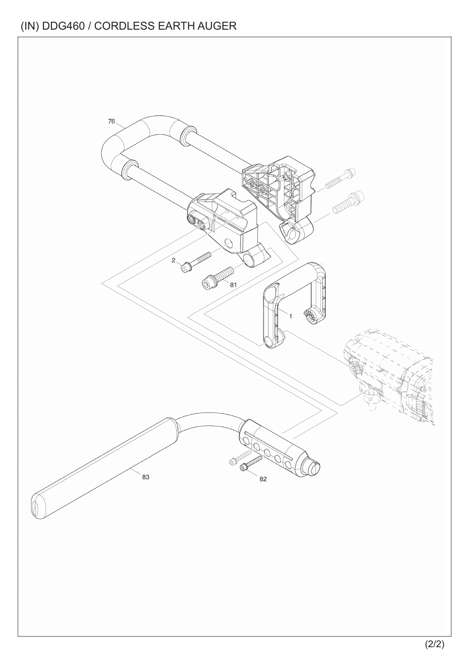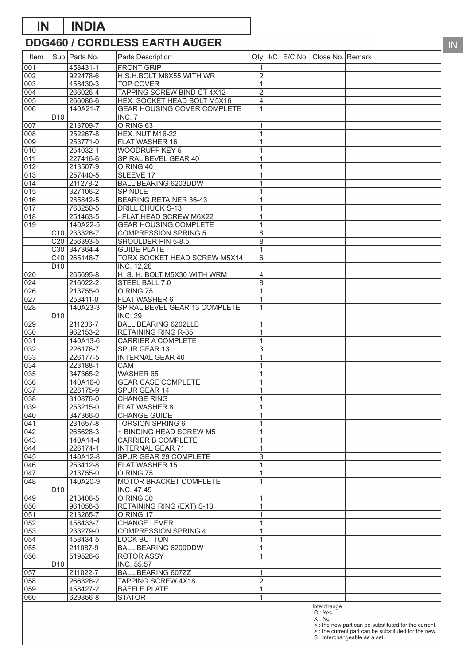## **DDG460 / CORDLESS EARTH AUGER IN INDIA**

| Item                    |                 | Sub Parts No.        | Parts Description                                 | Qty                           | I/C | E/C No. Close No. Remark |                                                                                       |
|-------------------------|-----------------|----------------------|---------------------------------------------------|-------------------------------|-----|--------------------------|---------------------------------------------------------------------------------------|
| 001                     |                 | 458431-1             | <b>FRONT GRIP</b>                                 | 1                             |     |                          |                                                                                       |
| 002                     |                 | 922478-6             | H.S.H.BOLT M8X55 WITH WR                          | $\overline{2}$                |     |                          |                                                                                       |
| 003                     |                 | 458430-3             | <b>TOP COVER</b>                                  | 1                             |     |                          |                                                                                       |
| 004                     |                 | 266026-4             | <b>TAPPING SCREW BIND CT 4X12</b>                 | $\overline{2}$                |     |                          |                                                                                       |
| 005                     |                 | 266086-6             | HEX. SOCKET HEAD BOLT M5X16                       | $\overline{\mathbf{4}}$       |     |                          |                                                                                       |
| 006                     |                 | 140A21-7             | GEAR HOUSING COVER COMPLETE                       | 1                             |     |                          |                                                                                       |
|                         | D <sub>10</sub> |                      | INC. 7                                            |                               |     |                          |                                                                                       |
| 007                     |                 | 213709-7             | ORING <sub>63</sub>                               | $\mathbf 1$                   |     |                          |                                                                                       |
| 008                     |                 | 252267-8             | <b>HEX. NUT M16-22</b>                            | $\mathbf{1}$                  |     |                          |                                                                                       |
| $\overline{009}$<br>010 |                 | 253771-0             | FLAT WASHER 16<br><b>WOODRUFF KEY 5</b>           | $\mathbf 1$                   |     |                          |                                                                                       |
| 011                     |                 | 254032-1<br>227416-6 | SPIRAL BEVEL GEAR 40                              | 1<br>$\mathbf{1}$             |     |                          |                                                                                       |
| 012                     |                 | 213507-9             | O RING 40                                         | $\mathbf{1}$                  |     |                          |                                                                                       |
| 013                     |                 | 257440-5             | SLEEVE 17                                         | $\mathbf 1$                   |     |                          |                                                                                       |
| 014                     |                 | 211278-2             | BALL BEARING 6203DDW                              | 1                             |     |                          |                                                                                       |
| 015                     |                 | 327106-2             | SPINDLE                                           | $\mathbf{1}$                  |     |                          |                                                                                       |
| 016                     |                 | 285842-5             | <b>BEARING RETAINER 36-43</b>                     | $\mathbf{1}$                  |     |                          |                                                                                       |
| 017                     |                 | 763250-5             | DRILL CHUCK S-13                                  | 1                             |     |                          |                                                                                       |
| 018                     |                 | 251463-5             | - FLAT HEAD SCREW M6X22                           | 1                             |     |                          |                                                                                       |
| 019                     |                 | 140A22-5             | <b>GEAR HOUSING COMPLETE</b>                      | $\mathbf{1}$                  |     |                          |                                                                                       |
|                         |                 | C10 233326-7         | <b>COMPRESSION SPRING 5</b>                       | $\overline{8}$                |     |                          |                                                                                       |
|                         |                 | C20 256393-5         | SHOULDER PIN 5-8.5                                | $\overline{8}$                |     |                          |                                                                                       |
|                         |                 | C30 347364-4         | <b>GUIDE PLATE</b>                                | 1                             |     |                          |                                                                                       |
|                         |                 | C40 265148-7         | TORX SOCKET HEAD SCREW M5X14                      | 6                             |     |                          |                                                                                       |
|                         | D <sub>10</sub> |                      | INC. 12,26                                        |                               |     |                          |                                                                                       |
| 020                     |                 | 265695-8             | H. S. H. BOLT M5X30 WITH WRM                      | $\overline{4}$                |     |                          |                                                                                       |
| 024<br>026              |                 | 216022-2<br>213755-0 | STEEL BALL 7.0<br>O RING 75                       | $\overline{8}$<br>$\mathbf 1$ |     |                          |                                                                                       |
| 027                     |                 | 253411-0             | FLAT WASHER 6                                     | $\mathbf 1$                   |     |                          |                                                                                       |
| $\overline{028}$        |                 | 140A23-3             | SPIRAL BEVEL GEAR 13 COMPLETE                     | $\mathbf{1}$                  |     |                          |                                                                                       |
|                         | D <sub>10</sub> |                      | <b>INC. 29</b>                                    |                               |     |                          |                                                                                       |
| 029                     |                 | 211206-7             | <b>BALL BEARING 6202LLB</b>                       | $\mathbf 1$                   |     |                          |                                                                                       |
| 030                     |                 | 962153-2             | <b>RETAINING RING R-35</b>                        | $\mathbf 1$                   |     |                          |                                                                                       |
| 031                     |                 | 140A13-6             | CARRIER A COMPLETE                                | $\mathbf{1}$                  |     |                          |                                                                                       |
| 032                     |                 | 226176-7             | SPUR GEAR 13                                      | 3                             |     |                          |                                                                                       |
| 033                     |                 | 226177-5             | <b>INTERNAL GEAR 40</b>                           | $\mathbf 1$                   |     |                          |                                                                                       |
| 034                     |                 | 223188-1             | CAM                                               | $\mathbf 1$                   |     |                          |                                                                                       |
| 035                     |                 | 347365-2             | <b>WASHER 65</b>                                  | 1                             |     |                          |                                                                                       |
| 036                     |                 | 140A16-0             | <b>GEAR CASE COMPLETE</b>                         | $\mathbf{1}$                  |     |                          |                                                                                       |
| 037                     |                 | 226175-9             | SPUR GEAR 14                                      | 1                             |     |                          |                                                                                       |
| 038                     |                 | 310876-0             | <b>CHANGE RING</b>                                | $\mathbf{1}$                  |     |                          |                                                                                       |
| 039<br>040              |                 | 253215-0<br>347366-0 | FLAT WASHER 8<br><b>CHANGE GUIDE</b>              | 1<br>$\mathbf 1$              |     |                          |                                                                                       |
| 041                     |                 | 231657-8             | <b>TORSION SPRING 6</b>                           | 1                             |     |                          |                                                                                       |
| 042                     |                 | 265628-3             | + BINDING HEAD SCREW M5                           | $\mathbf 1$                   |     |                          |                                                                                       |
| 043                     |                 | 140A14-4             | <b>CARRIER B COMPLETE</b>                         | 1                             |     |                          |                                                                                       |
| 044                     |                 | 226174-1             | <b>INTERNAL GEAR 71</b>                           | $\mathbf{1}$                  |     |                          |                                                                                       |
| 045                     |                 | 140A12-8             | SPUR GEAR 29 COMPLETE                             | 3                             |     |                          |                                                                                       |
| 046                     |                 | 253412-8             | FLAT WASHER 15                                    | $\mathbf 1$                   |     |                          |                                                                                       |
| 047                     |                 | 213755-0             | O RING 75                                         | $\mathbf 1$                   |     |                          |                                                                                       |
| 048                     |                 | 140A20-9             | MOTOR BRACKET COMPLETE                            | 1                             |     |                          |                                                                                       |
|                         | D <sub>10</sub> |                      | INC. 47,49                                        |                               |     |                          |                                                                                       |
| 049                     |                 | 213406-5             | O RING 30                                         | 1                             |     |                          |                                                                                       |
| 050                     |                 | 961058-3             | RETAINING RING (EXT) S-18                         | $\mathbf 1$                   |     |                          |                                                                                       |
| 051                     |                 | 213265-7             | O RING 17                                         | $\mathbf{1}$                  |     |                          |                                                                                       |
| 052                     |                 | 458433-7             | CHANGE LEVER                                      | $\mathbf 1$                   |     |                          |                                                                                       |
| 053<br>054              |                 | 233279-0<br>458434-5 | <b>COMPRESSION SPRING 4</b><br><b>LOCK BUTTON</b> | $\mathbf 1$<br>1              |     |                          |                                                                                       |
| 055                     |                 | 211087-9             | BALL BEARING 6200DDW                              | $\mathbf 1$                   |     |                          |                                                                                       |
| 056                     |                 | 519526-6             | <b>ROTOR ASSY</b>                                 | 1                             |     |                          |                                                                                       |
|                         | D <sub>10</sub> |                      | INC. 55,57                                        |                               |     |                          |                                                                                       |
| 057                     |                 | 211022-7             | <b>BALL BEARING 607ZZ</b>                         | $\mathbf{1}$                  |     |                          |                                                                                       |
| 058                     |                 | 266326-2             | <b>TAPPING SCREW 4X18</b>                         | $\overline{2}$                |     |                          |                                                                                       |
| 059                     |                 | 458427-2             | <b>BAFFLE PLATE</b>                               | 1                             |     |                          |                                                                                       |
| 060                     |                 | 629356-8             | <b>STATOR</b>                                     | $\mathbf{1}$                  |     |                          |                                                                                       |
|                         |                 |                      |                                                   |                               |     | Interchange              |                                                                                       |
|                         |                 |                      |                                                   |                               |     | O: Yes<br>X: No          |                                                                                       |
|                         |                 |                      |                                                   |                               |     |                          | <: the new part can be substituted for the current.                                   |
|                         |                 |                      |                                                   |                               |     |                          | > : the current part can be substituted for the new.<br>S : Interchangeable as a set. |